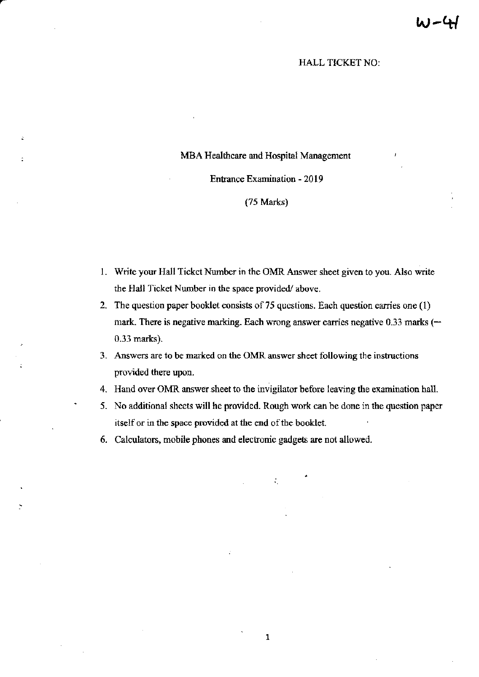## HALL TICKET NO:

## MBA Healthcare and Hospital Management

## Entrance Examination - 2019

## (75 Marks)

- 1. Write your Hall Tickct Number in the OMR Answer sheet given to you. Also write the Hall Ticket Number in the space provided/above.
- 2. The question paper booklet consists of 75 questions. Each question carries one  $(1)$ mark. There is negative marking. Each wrong answer carries negative 0.33 marks ( $-$ 0.33 marks).
- 3. Answers are to be marked on the OMR answer sheet following the instructions provided there upon.
- 4. Hand over OMR answer sheet to the invigilator before leaving the examination hall.
- 5. No additional sheets will he provided. Rough work can be done in the question paper itself or in the space provided at the end of the booklet.

 $\mathcal{L}_{\mathcal{L}}$ 

1

6. Calculators, mobile phones and electronic gadgets are not allowed.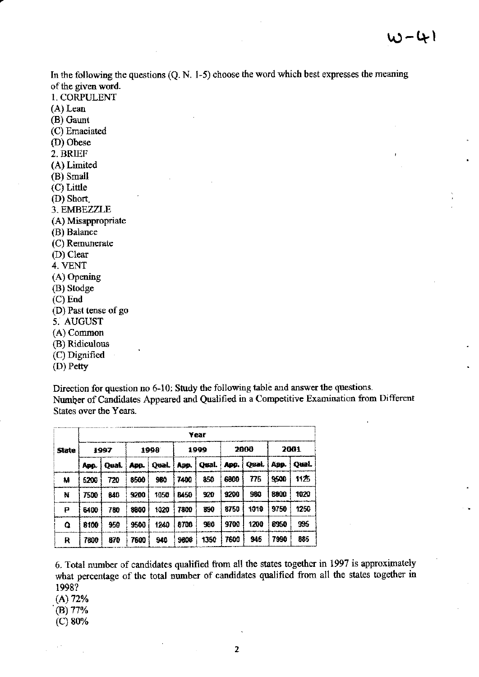In the following the questions (Q. N. 1-5) choose the word which best expresses the meaning of the given word. 1. CORPULENT  $(A)$  Lean (B) Gaunt (C) Emaciated (D) Obese 2. BRIEF (A) Limited (B) Small (C) Little (D) Short. 3. EMBEZZLE (A) Misappropriate (B) Balance (C) Remunerate (D) Clear 4. VENT  $(A)$  Opening (B) Stodge  $(C)$  End (D) Past tense of go 5. AUGUST (A) Common (B) Ridiculous (C) Dignified (D) Petty

Direction for question no 6-10: Study the following table and answer the questions. Number of Candidates Appeared and Qualified in a Competitive Examination from Different States over the Years.

| State | Year |       |      |       |             |       |      |       |      |       |
|-------|------|-------|------|-------|-------------|-------|------|-------|------|-------|
|       | 1997 |       | 1998 |       | 1999        |       | 2000 |       | 2001 |       |
|       | App. | Oual. | App. | Oual. | App.        | Qual. | App. | Ogal. | Ano. | Oual. |
| M     | 5200 | 720   | 8500 | 980   | 7400        | 850   | 6800 | 775   | 9500 | 1125  |
| N     | 7500 | 840   | 9200 | 1050  | <b>B450</b> | 920   | 9208 | 980   | 8800 | 1020  |
| Р     | 5400 | 780   | 8800 | 1020  | 7800        | 890   | 8750 | 1010  | 9750 | 1250  |
| Q     | 8100 | 950   | 9500 | 1240  | 8700        | 980   | 9700 | 1200  | 8950 | 995   |
| R     | 7800 | 870   | 7600 | 948   | 9800        | 1350  | 7600 | 945   | 7990 | 885   |

6. Total number of candidates qualified from all the states together in 1997 is approximately what percentage of the total number of candidates qualified from all the states together in 1998?

 $(A) 72%$ 

 $(B) 77%$ 

 $(C) 80%$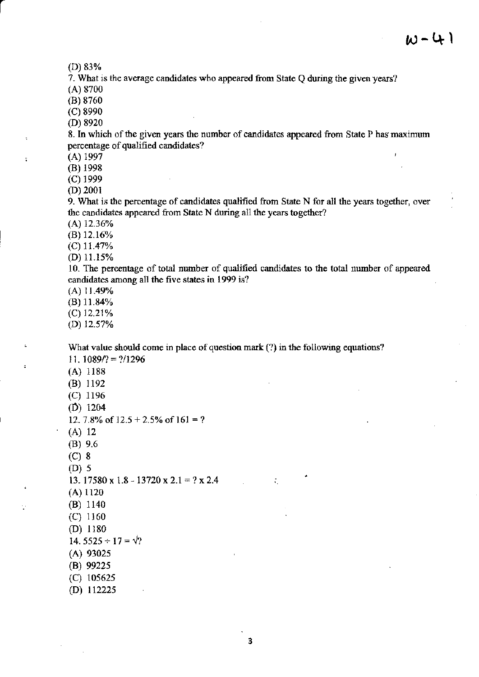$\mathbf{I}$ 

(D) 83%

7. What is the average candidates who appeared from State  $Q$  during the given years?

(A) 8700

(B) 8760

(c) 8990

(D) 8920

8. In which of the given years the number of candidates appeared from State P has maximum percentage of qualified candidates?

 $(A)$  1997

 $\ddot{\phantom{a}}$ 

 $(B)$  1998

 $(C)$  1999

(D) 200r

9. Wlat is the percentage of candidates qualified ftom State N for all the years together, over the candidates appeared from State N during all the years together?

 $(A)$  12.36%

(B) 12.16%

 $(C)$  11.47%

(D)  $11.15\%$ 

10. The percentage of total number of qualified candidates to the total number of appeared candidates among all the five states in 1999 is?

 $(A)$  11.49%

 $(B)$  11.84%

(c) 12.21%

(D) 12.57%

What value should come in place of question mark (?) in the following equations?

11.1089/? =  $\frac{2}{1296}$ 

(A) 1188

(B)  $1192$ 

 $(C)$  1196

 $(D)$  1204

12. 7.8% of  $12.5 + 2.5%$  of  $161 = ?$ 

(A) <sup>12</sup>

(B) 9.6

(c) <sup>8</sup>

(D) 5

13. 17580 x 1.8 - 13720 x 2.1 = ? x 2.4

(A) 1120

(B) 1140

(c) <sup>1160</sup>

(D) l180

14.  $5525 \div 17 = \sqrt{?}$ 

 $(A)$  93025

(B) 99225

(c) 10s625

(D) 112225

3

 $\mathcal{L}_\mathrm{c}$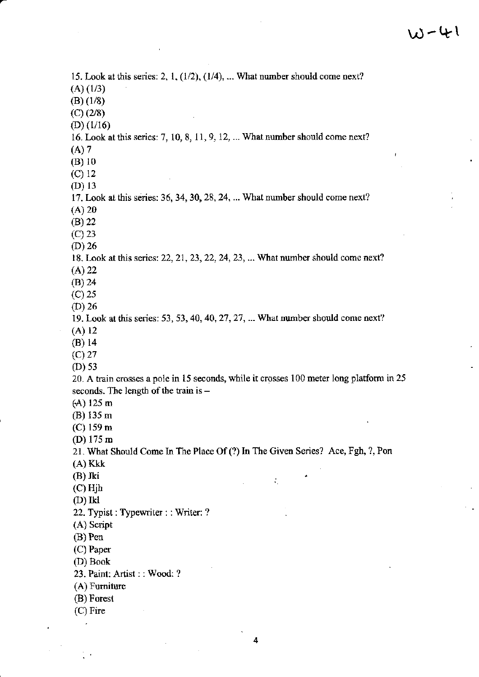15. Look at this series: 2, 1, (l/2), {l/4), ..- What number should come next?  $(A)$   $(1/3)$ (B) (l/8) (c) (2/8)  $(D)$  (1/16) 16. Look at this series:  $7, 10, 8, 11, 9, 12, \ldots$  What number should come next? (A) 7 (B) l0  $(C) 12$ (D) 13 l?. Look at this series:36,34,30,28,24, ..- What number should come next?  $(A) 20$ {B) 22  $(C)$  23 (D) 26 18, Look at this series: 22, 21, 23, 22, 24, 23, ... What number should come next? (A) 22 (B) 24 (c) 25 (D) 26 19. Look at this series: 53, 53, 40, 40, 27, 27, ... What number should come next? (A) 12 (B) 14  $(C)$  27 (D) 53 20. A train crosses a pole in 15 seconds, while it crosses 100 meter long platform in 25 seconds. The length of the train is  $-$ (A) 125 m (B) 135 m  $(C)$  159 m (D) l7s m 21. What Should Come In The Place Of (?) In The Given Series? Ace, Fgh, ?, Pon (A) Kkk (B) Jki  $\mathcal{L}_\mathrm{c}$ (c) Hjh  $(D)$  Ikl 22. Typist : Typewriter : : Writer: ?  $(A)$  Script  $(B)$  Pen (C) Paper (D) Book 23. Paint: Artist : : Wood: ? (A) Furniture (B) Forest (c) Firc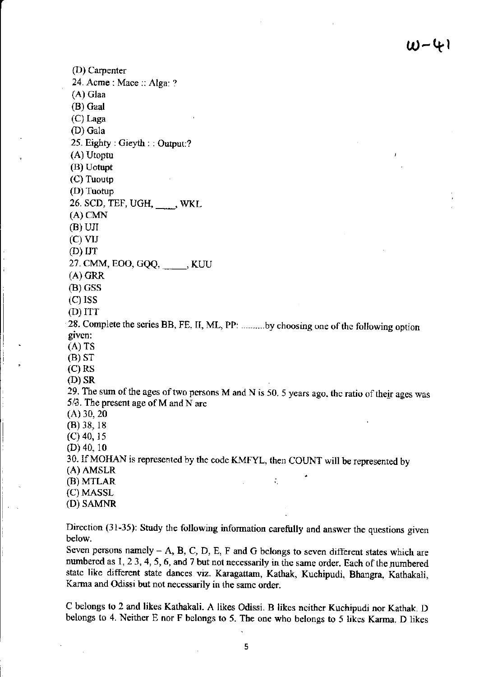(D) Carpenter 24. Acme: Mace:: Alga: ? (A) Glaa (B) Gaal  $(C)$  Laga (D) Gala 25. Eighty: Gieyth:: Output:? (A) Utoptu (B) Uotupt (C) Tuoutp (D) Tuotup 26. SCD, TEF, UGH, \_\_\_\_, WKL  $(A)$  CMN  $(B)$  UJI  $(C)$  VIJ  $(D)$  IJT 27. CMM, EOO, GQQ, \_\_\_\_\_, KUU  $(A)$  GRR  $(B)$  GSS  $(C)$  ISS  $(D) ITT$ 28. Complete the scries BB, FE, II, ML, PP: ..........by choosing one of the following option given:  $(A)$  TS  $(B) ST$  $(C)$  RS  $(D)$  SR 29. The sum of the ages of two persons M and N is 50. 5 years ago, the ratio of their ages was 5/3. The present age of M and N are  $(A)$  30, 20  $(B)$  38, 18  $(C)$  40, 15  $(D)$  40, 10 30. If MOHAN is represented by the code KMFYL, then COUNT will be represented by  $(A)$  AMSLR (B) MTLAR  $\mathcal{L}_\mathrm{c}$ (C) MASSL (D) SAMNR

Direction (31-35): Study the following information carefully and answer the questions given below.

Seven persons namely  $- A$ , B, C, D, E, F and G belongs to seven different states which are numbered as 1, 2 3, 4, 5, 6, and 7 but not necessarily in the same order. Each of the numbered state like different state dances viz. Karagattam, Kathak, Kuchipudi, Bhangra, Kathakali, Karma and Odissi but not necessarily in the same order.

C belongs to 2 and likes Kathakali. A likes Odissi. B likes neither Kuchipudi nor Kathak. D belongs to 4. Neither E nor F belongs to 5. The one who belongs to 5 likes Karma. D likes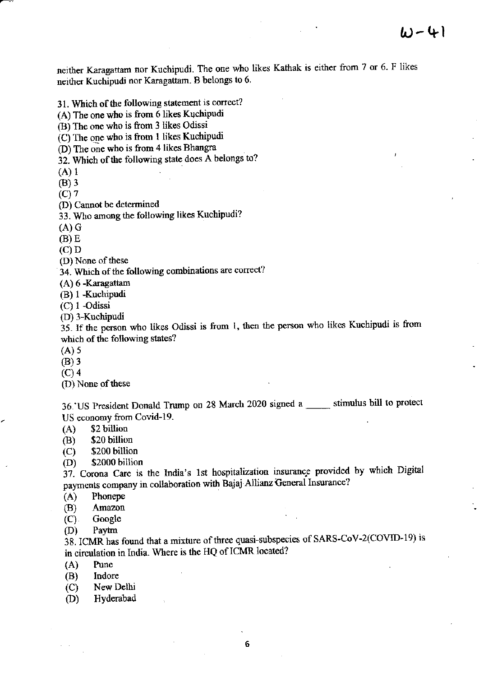neither Karagattam nor Kuchipudi. The one who likes Kathak is either from 7 or 6. F likes neither Kuchipudi nor Karagattam. B belongs to 6.

31. Which of the following statement is correct?

(A) The one who is from 6 likes Kuchipudi

(B) The one who is from 3 likes Odissi

(C) The one who is from 1 likes Kuchipudi

(D) The one who is from 4 likes Bhangra

32. Which of the following state does A belongs to?

 $(A)$  1

 $(B)$  3

 $(C)$  7

(D) Cannot be determined

33. Who among the following likes Kuchipudi?

 $(A)$  G

 $(B) E$ 

 $(C)$  D

(D) None of these

34. Which of the following combinations are correct?

(A) 6 -Karagattam

(B) 1 -Kuchipudi

 $(C)$  1 -Odissi

(D) 3-Kuchipudi

35. If the person who likes Odissi is from 1, then the person who likes Kuchipudi is from which of the following states?

 $(A)$  5

 $(B)$  3

 $(C)$  4

(D) None of these

36. US President Donald Trump on 28 March 2020 signed a \_\_\_\_\_ stimulus bill to protect US economy from Covid-19.

 $(A)$ \$2 billion

\$20 billion **(B)** 

\$200 billion  $(C)$ 

\$2000 billion  $(D)$ 

37. Corona Care is the India's 1st hospitalization insurance provided by which Digital payments company in collaboration with Bajaj Allianz General Insurance?

Phonepe  $(A)$ 

(B) Amazon

 $(C)$ . Google

 $(D)$ Paytm

38. ICMR has found that a mixture of three quasi-subspecies of SARS-CoV-2(COVID-19) is in circulation in India. Where is the HQ of ICMR located?

Pune  $(A)$ 

Indore (B)

New Delhi  $(C)$ 

Hyderabad (D)

6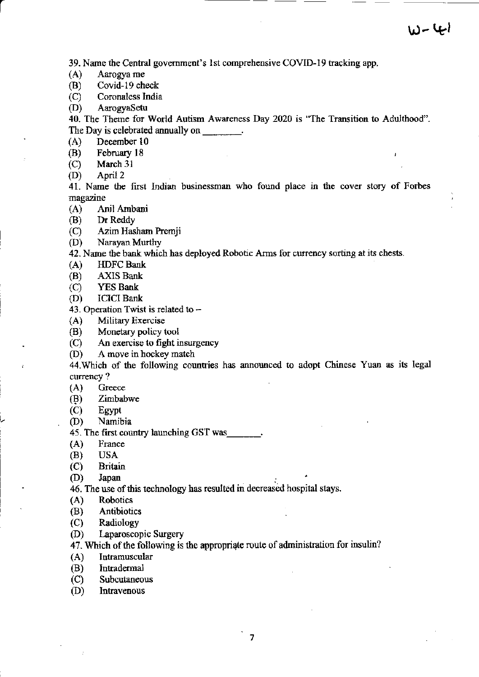J

39. Name the Central government's 1st comprehensive COVID-19 tracking app.

Aarogya me  $(A)$ 

Covid-19 check (B)

Coronaless India  $(C)$ 

AarogyaSetu (D)

40. The Theme for World Autism Awareness Day 2020 is "The Transition to Adulthood". The Day is celebrated annually on The Day is celebrated annually on

December 10  $(A)$ 

February 18 (B)

 $(C)$ March 31

(D) April 2

41. Name the first Indian businessman who found place in the cover story of Forbes magazine

 $(A)$ Anil Ambani

(B) Dr Reddy

Azim Hasham Premji  $(C)$ 

 $(D)$ Narayan Murthy

42. Name the bank which has deployed Robotic Arms for currency sorting at its chests.

 $(A)$ **HDFC** Bank

**AXIS Bank** (B)

 $(C)$ **YES Bank** 

**ICICI Bank** (D)

43. Operation Twist is related to -

**Military Exercise**  $(A)$ 

Monetary policy tool (B)

An exercise to fight insurgency  $(C)$ 

A move in hockey match  $(D)$ 

44. Which of the following countries has announced to adopt Chinese Yuan as its legal currency?

Greece  $(A)$ 

(B) Zimbabwe

 $(C)$ Egypt

 $(D)$ Namibia

45. The first country launching GST was ...

 $(A)$ France

**USA** (B)

**Britain**  $(C)$ 

(D) Japan

46. The use of this technology has resulted in decreased hospital stays.

**Robotics**  $(A)$ 

(B) Antibiotics

 $(C)$ Radiology

 $(D)$ Laparoscopic Surgery

47. Which of the following is the appropriate route of administration for insulin?

Intramuscular  $(A)$ 

(B) Intradermal

 $(C)$ Subcutaneous

(D) Intravenous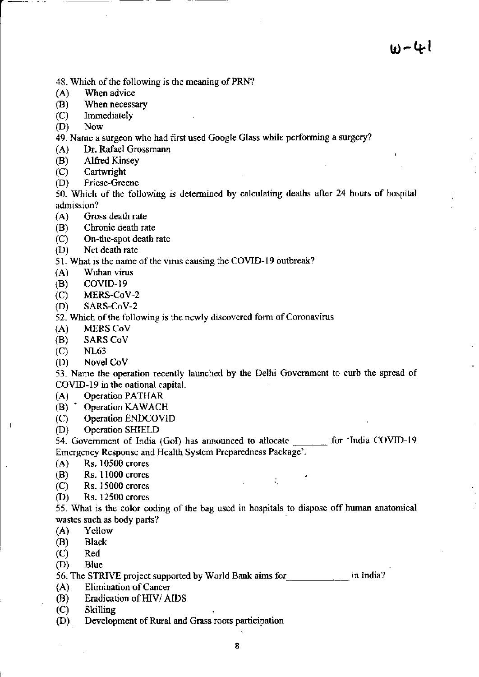- 48. Which of the following is the meaning of PRN?
- (A) When advice
- (B) When necessary
- (C) Immediately
- tD) Now
- 49. Name a surgeon who had tirst uscd Google Glass while performing a surgery?
- (A) Dr. Rafael Grossmann
- (B) Alfred Kinsey<br>(C) Cartwright
- (C) Cartwright<br>(D) Friese-Gree
- Friese-Greene

50. Which of the following is determined by calculating deaths affer 24 hours of hospital admission?<br>(A) Gross death rate

- 
- (B) Cbronic death rate
- (C) On-dre-spot death rate
- (D) Net death rate

51. What is the name of the virus causing the COVID-19 outbreak?

- $(A)$  Wuhan virus
- $(B)$  COVID-19
- (c) MERS-CoV-2
- (D) SARS-CoV-2

52. Which of the following is the newly discovered form of Coronavirus

- (A) MERS Cov
- (B) SARS CoV
- (c) NL63

ł

 $(D)$  Novel CoV

53. Name the operation recently launched by the Delhi Government to curb the spread of COVID-19 in the national capital.

- (A) Operation PATHAR<br>(B) Operation KAWACH
- 
- (C) Operation ENDCOVID
- (D) Operation SHIELD

54. Government of India (GoI) has announced to allocate for 'India COVID-19 Emergency Response and Health System Preparedness Package'.

 $\mathcal{L}_{\mathcal{L}}$ 

- (A) Rs. 10500 crores
- $(B)$  Rs. 11000 crores
- {C) Rs. 15000 crorcs
- (D) Rs. 12500 crores

55. What is the color coding of the bag used in hospitals to dispose off hunun anatomical wastes such as body parts?

- (A) Yellow
- (B) Black (c) Red (D) Blue
- 
- 

56. The STRIVE project supported by World Bank aims for **strategy** in India?

- (A) Elimination of Cancer
- (B) Eradication of HIV/ AIDS<br>(C) Skilling
- 
- (D) Development of Rural and Grass roots participation
	- 8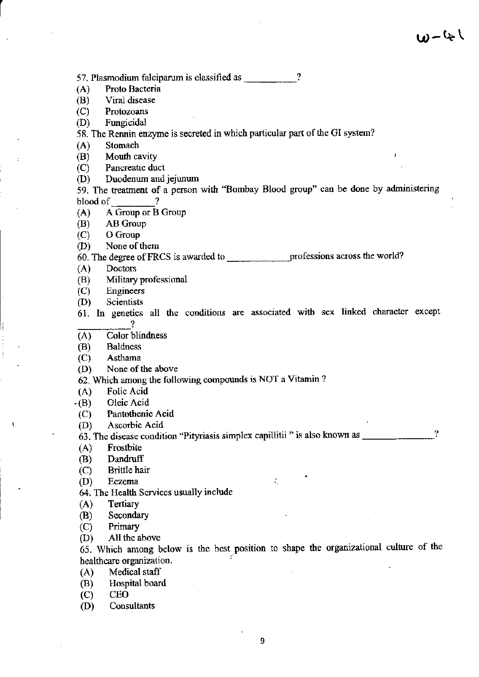57. Plasmodium falciparum is classified as \_\_\_\_\_\_\_\_\_\_\_?

Proto Bacteria  $(A)$ 

(B) Viral disease

 $(C)$ Protozoans

(D) Fungicidal

58. The Rennin enzyme is secreted in which particular part of the GI system?

 $(A)$ Stomach

Mouth cavity (B)

Pancreatic duct  $(C)$ 

(D) Duodenum and jejunum

59. The treatment of a person with "Bombay Blood group" can be done by administering -2 blood of

A Group or B Group  $(A)$ 

AB Group  $(B)$ 

O Group  $(C)$ 

None of them (D)

**Doctors**  $(A)$ 

Military professional (B)

Engineers  $(C)$ 

Scientists (D)

61. In genetics all the conditions are associated with sex linked character except 2

Color blindness  $(A)$ 

**Baldness** (B)

Asthama  $(C)$ 

(D) None of the above

62. Which among the following compounds is NOT a Vitamin?

 $(A)$ Folic Acid

Oleic Acid  $\cdot$ (B)

 $(C)$ Pantothenic Acid

Ascorbic Acid (D)

 $\boldsymbol{\Omega}$ 

÷.

 $(A)$ Frostbite

Dandruff (B)

**Brittle** hair  $(C)$ 

(D) Eczema

64. The Health Services usually include

Tertiary  $(A)$ 

Secondary (B)

Primary  $(C)$ 

All the above (D)

65. Which among below is the best position to shape the organizational culture of the healthcare organization.

Medical staff  $(A)$ 

(B) Hospital board

**CEO**  $(C)$ 

Consultants (D)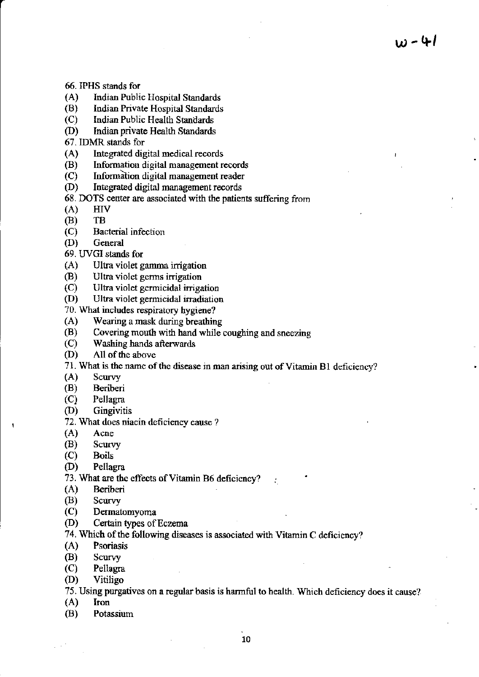$w - 41$ 

- 
- 66. IPHS stands for<br>
(A) lndian Public Hospital Standards<br>
(B) lndian Private Hospital Standards<br>
(C) Indian Public Health Standards<br>
(D) Indian private Health Standards
- 
- 
- 
- 67. IDMR stands for
- 
- (A) Integrated digital medical records<br>
(B) Information digital management records<br>
(C) Information digital management reader
- 
- (D) IntEgrated digital management records
- 68. DOTS center are associated with the patients suffering from  $(A)$  HIV<br>(B) TB
- 
- 
- $(C)$  Bacterial infection
- 
- (D) General<br>69. UVGI stands for
- 
- 
- 
- (A) Ultra violet gamma irrigation<br>
(B) Ultra violet germs irrigation<br>
(C) Ultra violet germicidal irradiation<br>
(D) Ultra violet germicidal irradiation<br>
70. What includes respiratory hygiene?
- 
- 
- 70. Wearing a mask during breathing<br>
(B) Covering mouth with hand while coughing and sneezing<br>
(C) Washing hands afterwards<br>
(D) All of the above
- 
- 
- 71. What is the name of the disease in man arising out of Vitamin B1 deficiency?<br>
(A) Scurvy<br>
(B) Beriberi<br>
(C) Pellagra
- 
- 
- 
- (D) Gingivitis
- 72. What does niacin deficiency cause ?
- (A) Acne
- (B) Scurvy<br>(C) Boils
- **Boils**
- (D) Pellagra
- 73. What are the effects of Vitamin B6 deficiency?<br>(A) Beriberi
- Beriberi
- 
- 
- (B) Scurvy<br>
(C) Dermatomyoma<br>
(D) Certain types of Eczema
- 74. Which of the following diseases is associated with Vitamin C deficiency?  $(A)$  Psoriasis
- 
- 
- (B) Scurvy<br>(C) Pellagra
- (D) Vitiligo
- 75. Using purgatives on a regular basis is harmful to health. Which deficiency does it cause? (A) Iron
- 
- (B) Potassium